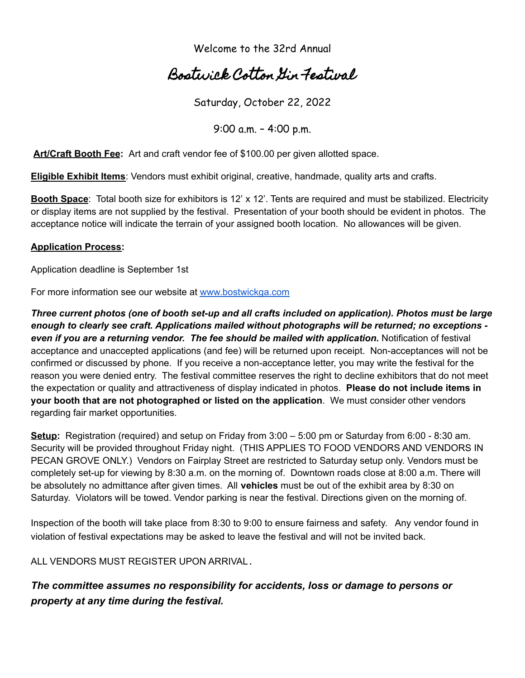Welcome to the 32rd Annual

## Bostwick Cotton Gin Festival

Saturday, October 22, 2022

9:00 a.m. – 4:00 p.m.

**Art/Craft Booth Fee:** Art and craft vendor fee of \$100.00 per given allotted space.

**Eligible Exhibit Items**: Vendors must exhibit original, creative, handmade, quality arts and crafts.

**Booth Space**: Total booth size for exhibitors is 12' x 12'. Tents are required and must be stabilized. Electricity or display items are not supplied by the festival. Presentation of your booth should be evident in photos. The acceptance notice will indicate the terrain of your assigned booth location. No allowances will be given.

## **Application Process:**

Application deadline is September 1st

For more information see our website at [www.bostwickga.com](http://www.bostwickga.com/)

*Three current photos (one of booth set-up and all crafts included on application). Photos must be large enough to clearly see craft. Applications mailed without photographs will be returned; no exceptions even if you are a returning vendor. The fee should be mailed with application.* Notification of festival acceptance and unaccepted applications (and fee) will be returned upon receipt. Non-acceptances will not be confirmed or discussed by phone. If you receive a non-acceptance letter, you may write the festival for the reason you were denied entry. The festival committee reserves the right to decline exhibitors that do not meet the expectation or quality and attractiveness of display indicated in photos. **Please do not include items in your booth that are not photographed or listed on the application**. We must consider other vendors regarding fair market opportunities.

**Setup:** Registration (required) and setup on Friday from 3:00 – 5:00 pm or Saturday from 6:00 - 8:30 am. Security will be provided throughout Friday night. (THIS APPLIES TO FOOD VENDORS AND VENDORS IN PECAN GROVE ONLY.) Vendors on Fairplay Street are restricted to Saturday setup only. Vendors must be completely set-up for viewing by 8:30 a.m. on the morning of. Downtown roads close at 8:00 a.m. There will be absolutely no admittance after given times. All **vehicles** must be out of the exhibit area by 8:30 on Saturday. Violators will be towed. Vendor parking is near the festival. Directions given on the morning of.

Inspection of the booth will take place from 8:30 to 9:00 to ensure fairness and safety. Any vendor found in violation of festival expectations may be asked to leave the festival and will not be invited back.

ALL VENDORS MUST REGISTER UPON ARRIVAL.

*The committee assumes no responsibility for accidents, loss or damage to persons or property at any time during the festival.*